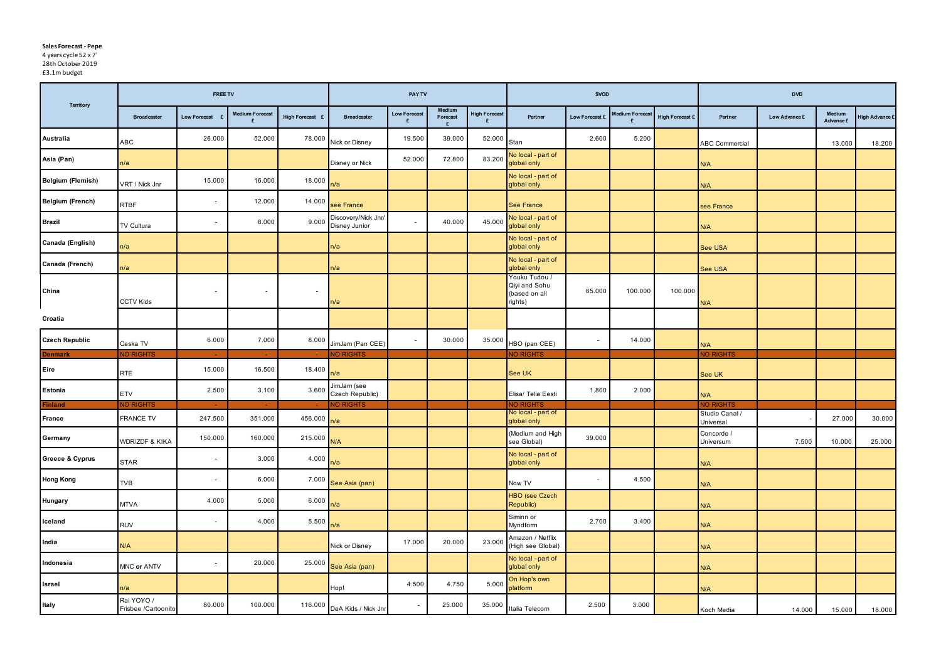## **Sales Forecast - Pepe**

4 years cycle 52 x 7' 28th October 2019

£3.1m budget

| <b>Territory</b>           |                                   | <b>FREE TV</b>           |                        |                         |                                      | <b>PAY TV</b>            |                                |                           |                                                            | <b>SVOD</b>              |                        |                 |                             | <b>DVD</b>    |                     |                |
|----------------------------|-----------------------------------|--------------------------|------------------------|-------------------------|--------------------------------------|--------------------------|--------------------------------|---------------------------|------------------------------------------------------------|--------------------------|------------------------|-----------------|-----------------------------|---------------|---------------------|----------------|
|                            | <b>Broadcaster</b>                | <b>Low Forecast</b>      | <b>Medium Forecast</b> | High Forecast £         | <b>Broadcaster</b>                   | <b>Low Forecast</b><br>£ | <b>Medium</b><br>Forecast<br>E | <b>High Forecast</b><br>£ | Partner                                                    | Low Forecast £           | <b>Medium Forecast</b> | High Forecast £ | Partner                     | Low Advance £ | Medium<br>Advance £ | High Advance £ |
| Australia                  | <b>ABC</b>                        | 26.000                   | 52.000                 | 78.000                  | Nick or Disney                       | 19.500                   | 39.000                         | 52.000                    | Stan                                                       | 2.600                    | 5.200                  |                 | <b>ABC Commercial</b>       |               | 13.000              | 18.200         |
| Asia (Pan)                 | n/a                               |                          |                        |                         | Disney or Nick                       | 52.000                   | 72.800                         | 83.200                    | No local - part of<br>global only                          |                          |                        |                 | N/A                         |               |                     |                |
| <b>Belgium (Flemish)</b>   | VRT / Nick Jnr                    | 15.000                   | 16.000                 | 18.000 <mark>n/a</mark> |                                      |                          |                                |                           | No local - part of<br>global only                          |                          |                        |                 | N/A                         |               |                     |                |
| <b>Belgium (French)</b>    | <b>RTBF</b>                       | $\sim$                   | 12.000                 | 14.000                  | see France                           |                          |                                |                           | <b>See France</b>                                          |                          |                        |                 | see France                  |               |                     |                |
| <b>Brazil</b>              | TV Cultura                        | $\sim$                   | 8.000                  | 9.000                   | Discovery/Nick Jnr/<br>Disney Junior | $\sim$                   | 40.000                         | 45.000                    | No local - part of<br>global only                          |                          |                        |                 | N/A                         |               |                     |                |
| Canada (English)           | n/a                               |                          |                        |                         | n/a                                  |                          |                                |                           | No local - part of<br>global only                          |                          |                        |                 | See USA                     |               |                     |                |
| Canada (French)            | n/a                               |                          |                        |                         | n/a                                  |                          |                                |                           | No local - part of<br>global only                          |                          |                        |                 | See USA                     |               |                     |                |
| China                      | <b>CCTV Kids</b>                  | $\sim$                   | $\sim$                 | $\sim$                  | n/a                                  |                          |                                |                           | Youku Tudou /<br>Qiyi and Sohu<br>(based on all<br>rights) | 65.000                   | 100.000                | 100.000         | N/A                         |               |                     |                |
| Croatia                    |                                   |                          |                        |                         |                                      |                          |                                |                           |                                                            |                          |                        |                 |                             |               |                     |                |
| <b>Czech Republic</b>      | Ceska TV                          | 6.000                    | 7.000                  | 8.000                   | JimJam (Pan CEE)                     | $\sim$                   | 30.000                         | 35.000                    | HBO (pan CEE)                                              | $\overline{\phantom{a}}$ | 14.000                 |                 | N/A                         |               |                     |                |
| <b>Denmark</b>             | <b>NO RIGHTS</b>                  |                          |                        |                         | NO RIGHTS                            |                          |                                |                           | <b>NO RIGHTS</b>                                           |                          |                        |                 | <b>NO RIGHTS</b>            |               |                     |                |
| Eire                       | <b>RTE</b>                        | 15.000                   | 16.500                 | 18.400                  | n/a                                  |                          |                                |                           | See UK                                                     |                          |                        |                 | See UK                      |               |                     |                |
| Estonia                    | <b>ETV</b>                        | 2.500                    | 3.100                  | 3.600                   | JimJam (see<br>Czech Republic)       |                          |                                |                           | Elisa/ Telia Eesti                                         | 1.800                    | 2.000                  |                 | N/A                         |               |                     |                |
| <b>Finland</b>             | <b>NO RIGHTS</b>                  |                          |                        |                         | NO RIGHTS                            |                          |                                |                           | NO RIGHTS                                                  |                          |                        |                 | <b>NO RIGHTS</b>            |               |                     |                |
| France                     | FRANCE TV                         | 247.500                  | 351.000                | 456.000 n/a             |                                      |                          |                                |                           | No local - part of<br>global only                          |                          |                        |                 | Studio Canal /<br>Universal |               | 27.000              | 30.000         |
| Germany                    | WDR/ZDF & KIKA                    | 150.000                  | 160.000                | 215.000 $N/A$           |                                      |                          |                                |                           | (Medium and High<br>see Global)                            | 39.000                   |                        |                 | Concorde /<br>Universum     | 7.500         | 10.000              | 25.000         |
| <b>Greece &amp; Cyprus</b> | <b>STAR</b>                       | $\sim$                   | 3.000                  | 4.000 $n/a$             |                                      |                          |                                |                           | No local - part of<br>global only                          |                          |                        |                 | N/A                         |               |                     |                |
| <b>Hong Kong</b>           | <b>TVB</b>                        | $\sim$                   | 6.000                  | 7.000                   | See Asia (pan)                       |                          |                                |                           | Now TV                                                     | $\sim$                   | 4.500                  |                 | N/A                         |               |                     |                |
| <b>Hungary</b>             | <b>MTVA</b>                       | 4.000                    | 5.000                  | 6.000                   | n/a                                  |                          |                                |                           | <b>HBO</b> (see Czech<br>Republic)                         |                          |                        |                 | N/A                         |               |                     |                |
| Iceland                    | <b>RUV</b>                        | $\overline{\phantom{a}}$ | 4.000                  | 5.500                   | n/a                                  |                          |                                |                           | Siminn or<br>Myndform                                      | 2.700                    | 3.400                  |                 | N/A                         |               |                     |                |
| India                      | N/A                               |                          |                        |                         | Nick or Disney                       | 17.000                   | 20.000                         | 23.000                    | Amazon / Netflix<br>(High see Global)                      |                          |                        |                 | N/A                         |               |                     |                |
| Indonesia                  | MNC or ANTV                       | $\overline{\phantom{a}}$ | 20.000                 |                         | 25.000 See Asia (pan)                |                          |                                |                           | No local - part of<br>global only                          |                          |                        |                 | N/A                         |               |                     |                |
| <b>Israel</b>              | n/a                               |                          |                        |                         | Hop!                                 | 4.500                    | 4.750                          | 5.000                     | On Hop's own<br>platform                                   |                          |                        |                 | N/A                         |               |                     |                |
| Italy                      | Rai YOYO /<br>Frisbee /Cartoonito | 80.000                   | 100.000                |                         | 116.000 DeA Kids / Nick Jnr          |                          | 25.000                         | 35.000                    | Italia Telecom                                             | 2.500                    | 3.000                  |                 | Koch Media                  | 14.000        | 15.000              | 18.000         |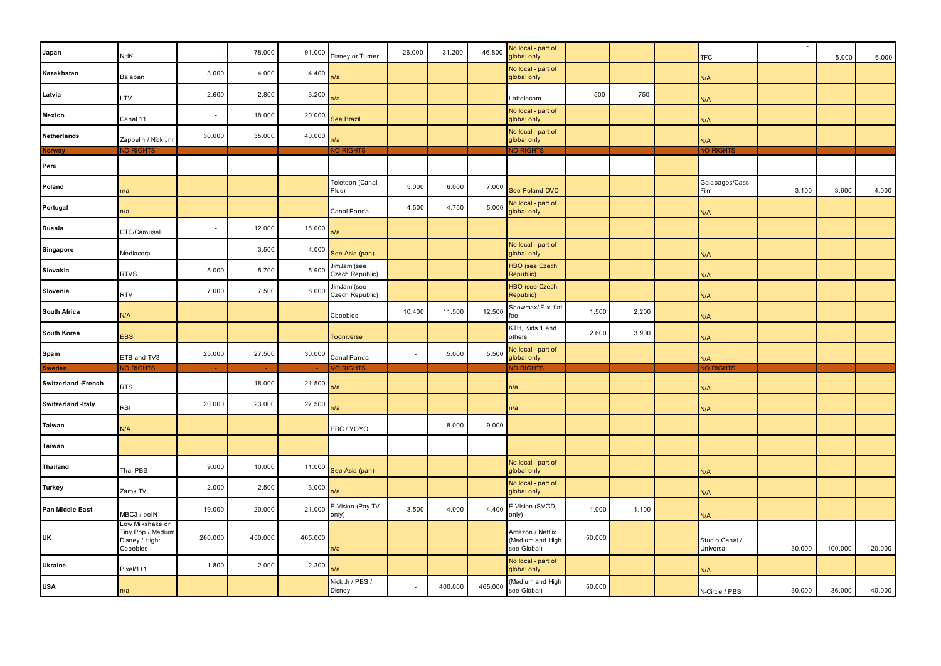| Japan                      | <b>NHK</b>                                                          |                          | 78.000  | 91.000  | Disney or Turner               | 26.000                   | 31.200  | 46.800  | No local - part of<br>global only                  |        |       | <b>TFC</b>                  |        | 5.000   | 6.000   |
|----------------------------|---------------------------------------------------------------------|--------------------------|---------|---------|--------------------------------|--------------------------|---------|---------|----------------------------------------------------|--------|-------|-----------------------------|--------|---------|---------|
| Kazakhstan                 | Balapan                                                             | 3.000                    | 4.000   | 4.400   | n/a                            |                          |         |         | No local - part of<br>global only                  |        |       | N/A                         |        |         |         |
| Latvia                     | LTV                                                                 | 2.600                    | 2.800   | 3.200   | n/a                            |                          |         |         | Lattelecom                                         | 500    | 750   | N/A                         |        |         |         |
| <b>Mexico</b>              | Canal 11                                                            | $\sim$                   | 18.000  | 20.000  | <b>See Brazil</b>              |                          |         |         | No local - part of<br>global only                  |        |       | N/A                         |        |         |         |
| <b>Netherlands</b>         | Zappelin / Nick Jnr                                                 | 30.000                   | 35.000  | 40.000  | n/a                            |                          |         |         | No local - part of<br>global only                  |        |       | N/A                         |        |         |         |
| <b>Norway</b>              | <b>NO RIGHTS</b>                                                    |                          |         |         | <b>NO RIGHTS</b>               |                          |         |         | <b>NO RIGHTS</b>                                   |        |       | <b>NO RIGHTS</b>            |        |         |         |
| Peru                       |                                                                     |                          |         |         |                                |                          |         |         |                                                    |        |       |                             |        |         |         |
| Poland                     | n/a                                                                 |                          |         |         | Teletoon (Canal<br>Plus)       | 5.000                    | 6.000   | 7.000   | See Poland DVD                                     |        |       | Galapagos/Cass<br>Film      | 3.100  | 3.600   | 4.000   |
| Portugal                   | n/a                                                                 |                          |         |         | Canal Panda                    | 4.500                    | 4.750   | 5.000   | No local - part of<br>global only                  |        |       | N/A                         |        |         |         |
| Russia                     | CTC/Carousel                                                        | $\overline{\phantom{a}}$ | 12.000  | 16.000  | n/a                            |                          |         |         |                                                    |        |       |                             |        |         |         |
| Singapore                  | Mediacorp                                                           | $\overline{\phantom{a}}$ | 3.500   | 4.000   | See Asia (pan)                 |                          |         |         | No local - part of<br>global only                  |        |       | N/A                         |        |         |         |
| Slovakia                   | <b>RTVS</b>                                                         | 5.000                    | 5.700   | 5.900   | JimJam (see<br>Czech Republic) |                          |         |         | HBO (see Czech<br>Republic)                        |        |       | N/A                         |        |         |         |
| Slovenia                   | <b>RTV</b>                                                          | 7.000                    | 7.500   | 8.000   | JimJam (see<br>Czech Republic) |                          |         |         | HBO (see Czech<br>Republic)                        |        |       | N/A                         |        |         |         |
| <b>South Africa</b>        | N/A                                                                 |                          |         |         | Cbeebies                       | 10.400                   | 11.500  | 12.500  | Showmax/iFlix-flat<br>fee                          | 1.500  | 2.200 | N/A                         |        |         |         |
| <b>South Korea</b>         | <b>EBS</b>                                                          |                          |         |         | <b>Tooniverse</b>              |                          |         |         | KTH, Kids 1 and<br><b>others</b>                   | 2.600  | 3.900 | N/A                         |        |         |         |
| <b>Spain</b>               | ETB and TV3                                                         | 25.000                   | 27.500  | 30.000  | Canal Panda                    | $\sim$                   | 5.000   | 5.500   | No local - part of<br>global only                  |        |       | N/A                         |        |         |         |
| <b>Sweden</b>              | NO RIGHTS                                                           |                          |         |         | NO RIGHTS                      |                          |         |         | NO RIGHTS                                          |        |       | <b>NO RIGHTS</b>            |        |         |         |
| <b>Switzerland -French</b> | <b>RTS</b>                                                          | $\overline{\phantom{a}}$ | 18.000  | 21.500  | n/a                            |                          |         |         | n/a                                                |        |       | N/A                         |        |         |         |
| <b>Switzerland -Italy</b>  | <b>RSI</b>                                                          | 20.000                   | 23.000  | 27.500  | n/a                            |                          |         |         | n/a                                                |        |       | N/A                         |        |         |         |
| <b>Taiwan</b>              | N/A                                                                 |                          |         |         | EBC / YOYO                     | $\sim$                   | 8.000   | 9.000   |                                                    |        |       |                             |        |         |         |
| <b>Taiwan</b>              |                                                                     |                          |         |         |                                |                          |         |         |                                                    |        |       |                             |        |         |         |
| <b>Thailand</b>            | Thai PBS                                                            | 9.000                    | 10.000  | 11.000  | See Asia (pan)                 |                          |         |         | No local - part of<br>global only                  |        |       | N/A                         |        |         |         |
| <b>Turkey</b>              | Zarok TV                                                            | 2.000                    | 2.500   | 3.000   | n/a                            |                          |         |         | No local - part of<br>global only                  |        |       | N/A                         |        |         |         |
| <b>Pan Middle East</b>     | MBC3 / belN                                                         | 19.000                   | 20.000  | 21.000  | E-Vision (Pay TV<br>only)      | 3.500                    | 4.000   | 4.400   | E-Vision (SVOD,<br>only)                           | 1.000  | 1.100 | N/A                         |        |         |         |
| <b>UK</b>                  | Low Milkshake or<br>Tiny Pop / Medium<br>Disney / High:<br>Cbeebies | 260.000                  | 450.000 | 465.000 | n/a                            |                          |         |         | Amazon / Netflix<br>Medium and High<br>see Global) | 50.000 |       | Studio Canal /<br>Universal | 30.000 | 100.000 | 120.000 |
| <b>Ukraine</b>             | $P$ ixel/1+1                                                        | 1.800                    | 2.000   | 2.300   | n/a                            |                          |         |         | No local - part of<br>global only                  |        |       | N/A                         |        |         |         |
| <b>USA</b>                 | n/a                                                                 |                          |         |         | Nick Jr / PBS /<br>Disney      | $\overline{\phantom{a}}$ | 400.000 | 465.000 | (Medium and High<br>see Global)                    | 50.000 |       | N-Circle / PBS              | 30.000 | 36.000  | 40.000  |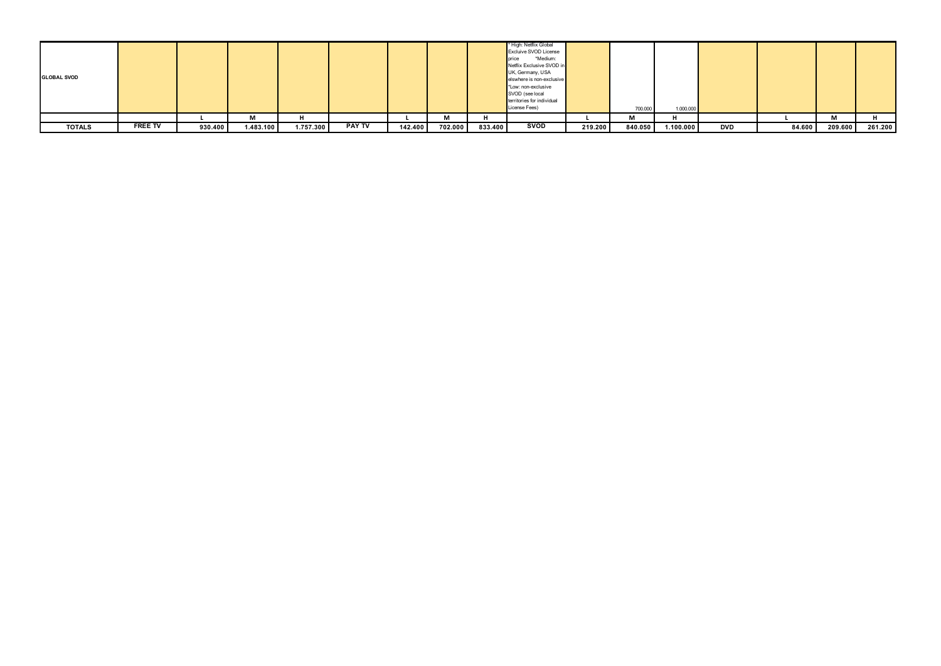| <b>GLOBAL SVOD</b> |                |         |           |           |               |         |                    |         | * High: Netflix Global<br><b>Excluive SVOD License</b><br>*Medium:<br>price<br>Netflix Exclusive SVOD in<br>UK, Germany, USA<br>elswhere is non-exclusive<br>*Low: non-exclusive<br>SVOD (see local<br>territories for individual<br>License Fees) |         | 700.000 | 1.000.000 |     |        |         |         |
|--------------------|----------------|---------|-----------|-----------|---------------|---------|--------------------|---------|----------------------------------------------------------------------------------------------------------------------------------------------------------------------------------------------------------------------------------------------------|---------|---------|-----------|-----|--------|---------|---------|
|                    |                |         | М         |           |               |         | <b>D.A.</b><br>IVI |         |                                                                                                                                                                                                                                                    |         | М       |           |     |        | М       |         |
| <b>TOTALS</b>      | <b>FREE TV</b> | 930.400 | 1.483.100 | 1.757.300 | <b>PAY TV</b> | 142.400 | 702.000            | 833.400 | <b>SVOD</b>                                                                                                                                                                                                                                        | 219.200 | 840.050 | 1.100.000 | DVD | 84.600 | 209.600 | 261.200 |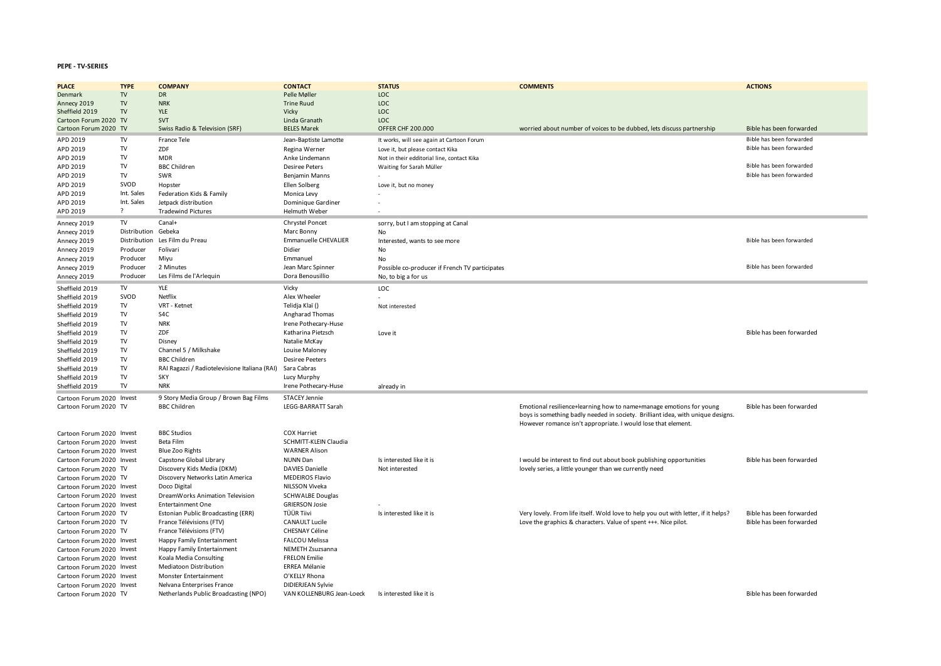## **PEPE - TV-SERIES**

| <b>PLACE</b>              | <b>TYPE</b>         | <b>COMPANY</b>                                | <b>CONTACT</b>               | <b>STATUS</b>                                  | <b>COMMENTS</b>                                                                                                                                                                                                         | <b>ACTIONS</b>           |
|---------------------------|---------------------|-----------------------------------------------|------------------------------|------------------------------------------------|-------------------------------------------------------------------------------------------------------------------------------------------------------------------------------------------------------------------------|--------------------------|
| Denmark                   | TV                  | <b>DR</b>                                     | Pelle Møller                 | <b>LOC</b>                                     |                                                                                                                                                                                                                         |                          |
| Annecy 2019               | TV                  | <b>NRK</b>                                    | <b>Trine Ruud</b>            | LOC                                            |                                                                                                                                                                                                                         |                          |
| Sheffield 2019            | ${\rm TV}$          | YLE                                           | Vicky                        | LOC                                            |                                                                                                                                                                                                                         |                          |
| Cartoon Forum 2020 TV     |                     | <b>SVT</b>                                    | Linda Granath                | LOC                                            |                                                                                                                                                                                                                         |                          |
| Cartoon Forum 2020 TV     |                     | Swiss Radio & Television (SRF)                | <b>BELES Marek</b>           | <b>OFFER CHF 200.000</b>                       | worried about number of voices to be dubbed, lets discuss partnership                                                                                                                                                   | Bible has been forwarded |
| APD 2019                  | TV                  | France Tele                                   | Jean-Baptiste Lamotte        | It works, will see again at Cartoon Forum      |                                                                                                                                                                                                                         | Bible has been forwarded |
| APD 2019                  | ${\rm TV}$          | ZDF                                           | Regina Werner                | Love it, but please contact Kika               |                                                                                                                                                                                                                         | Bible has been forwarded |
| APD 2019                  | ${\rm TV}$          | <b>MDR</b>                                    | Anke Lindemann               | Not in their edditorial line, contact Kika     |                                                                                                                                                                                                                         |                          |
| APD 2019                  | TV                  | <b>BBC Children</b>                           | <b>Desiree Peters</b>        | Waiting for Sarah Müller                       |                                                                                                                                                                                                                         | Bible has been forwarded |
| APD 2019                  | TV                  | SWR                                           | Benjamin Manns               |                                                |                                                                                                                                                                                                                         | Bible has been forwarded |
| APD 2019                  | SVOD                | Hopster                                       | Ellen Solberg                |                                                |                                                                                                                                                                                                                         |                          |
| APD 2019                  | Int. Sales          | Federation Kids & Family                      | Monica Levy                  | Love it, but no money                          |                                                                                                                                                                                                                         |                          |
| APD 2019                  | Int. Sales          | Jetpack distribution                          | Dominique Gardiner           |                                                |                                                                                                                                                                                                                         |                          |
| APD 2019                  | $\overline{?}$      | <b>Tradewind Pictures</b>                     | <b>Helmuth Weber</b>         |                                                |                                                                                                                                                                                                                         |                          |
|                           |                     |                                               |                              |                                                |                                                                                                                                                                                                                         |                          |
| Annecy 2019               | TV                  | Canal+                                        | Chrystel Poncet              | sorry, but I am stopping at Canal              |                                                                                                                                                                                                                         |                          |
| Annecy 2019               | Distribution Gebeka |                                               | Marc Bonny                   | No                                             |                                                                                                                                                                                                                         |                          |
| Annecy 2019               | Distribution        | Les Film du Preau                             | <b>Emmanuelle CHEVALIER</b>  | Interested, wants to see more                  |                                                                                                                                                                                                                         | Bible has been forwarded |
| Annecy 2019               | Producer            | Folivari                                      | Didier                       | <b>No</b>                                      |                                                                                                                                                                                                                         |                          |
| Annecy 2019               | Producer            | Miyu                                          | Emmanuel                     | <b>No</b>                                      |                                                                                                                                                                                                                         |                          |
| Annecy 2019               | Producer            | 2 Minutes                                     | Jean Marc Spinner            | Possible co-producer if French TV participates |                                                                                                                                                                                                                         | Bible has been forwarded |
| Annecy 2019               | Producer            | Les Films de l'Arlequin                       | Dora Benousillio             | No, to big a for us                            |                                                                                                                                                                                                                         |                          |
| Sheffield 2019            | TV                  | <b>YLE</b>                                    | Vicky                        | LOC.                                           |                                                                                                                                                                                                                         |                          |
| Sheffield 2019            | SVOD                | Netflix                                       | Alex Wheeler                 |                                                |                                                                                                                                                                                                                         |                          |
| Sheffield 2019            | TV.                 | VRT - Ketnet                                  | Telidja Klaï ()              | Not interested                                 |                                                                                                                                                                                                                         |                          |
| Sheffield 2019            | TV                  | S <sub>4</sub> C                              | Angharad Thomas              |                                                |                                                                                                                                                                                                                         |                          |
| Sheffield 2019            | TV                  | <b>NRK</b>                                    | Irene Pothecary-Huse         |                                                |                                                                                                                                                                                                                         |                          |
| Sheffield 2019            | TV                  | ZDF                                           | Katharina Pietzsch           | Love it                                        |                                                                                                                                                                                                                         | Bible has been forwarded |
| Sheffield 2019            | TV                  | Disney                                        | Natalie McKay                |                                                |                                                                                                                                                                                                                         |                          |
| Sheffield 2019            | ${\rm TV}$          | Channel 5 / Milkshake                         | Louise Maloney               |                                                |                                                                                                                                                                                                                         |                          |
| Sheffield 2019            | TV                  | <b>BBC Children</b>                           | <b>Desiree Peeters</b>       |                                                |                                                                                                                                                                                                                         |                          |
| Sheffield 2019            | TV                  | RAI Ragazzi / Radiotelevisione Italiana (RAI) | Sara Cabras                  |                                                |                                                                                                                                                                                                                         |                          |
| Sheffield 2019            | TV                  | <b>SKY</b>                                    | Lucy Murphy                  |                                                |                                                                                                                                                                                                                         |                          |
| Sheffield 2019            | ${\rm TV}$          | <b>NRK</b>                                    | Irene Pothecary-Huse         | already in                                     |                                                                                                                                                                                                                         |                          |
| Cartoon Forum 2020 Invest |                     | 9 Story Media Group / Brown Bag Films         | <b>STACEY Jennie</b>         |                                                |                                                                                                                                                                                                                         |                          |
| Cartoon Forum 2020 TV     |                     | <b>BBC Children</b>                           | LEGG-BARRATT Sarah           |                                                | Emotional resilience+learning how to name+manage emotions for young<br>boys is something badly needed in society. Brilliant idea, with unique designs.<br>However romance isn't appropriate. I would lose that element. | Bible has been forwarded |
| Cartoon Forum 2020 Invest |                     | <b>BBC Studios</b>                            | <b>COX Harriet</b>           |                                                |                                                                                                                                                                                                                         |                          |
| Cartoon Forum 2020 Invest |                     | Beta Film                                     | <b>SCHMITT-KLEIN Claudia</b> |                                                |                                                                                                                                                                                                                         |                          |
| Cartoon Forum 2020 Invest |                     | <b>Blue Zoo Rights</b>                        | <b>WARNER Alison</b>         |                                                |                                                                                                                                                                                                                         |                          |
| Cartoon Forum 2020 Invest |                     | Capstone Global Library                       | NUNN Dan                     | Is interested like it is                       | I would be interest to find out about book publishing opportunities                                                                                                                                                     | Bible has been forwarded |
| Cartoon Forum 2020 TV     |                     | Discovery Kids Media (DKM)                    | <b>DAVIES Danielle</b>       | Not interested                                 | lovely series, a little younger than we currently need                                                                                                                                                                  |                          |
| Cartoon Forum 2020 TV     |                     | Discovery Networks Latin America              | <b>MEDEIROS Flavio</b>       |                                                |                                                                                                                                                                                                                         |                          |
| Cartoon Forum 2020 Invest |                     | Doco Digital                                  | NILSSON Viveka               |                                                |                                                                                                                                                                                                                         |                          |
| Cartoon Forum 2020 Invest |                     | DreamWorks Animation Television               | <b>SCHWALBE Douglas</b>      |                                                |                                                                                                                                                                                                                         |                          |
| Cartoon Forum 2020 Invest |                     | <b>Entertainment One</b>                      | <b>GRIERSON Josie</b>        |                                                |                                                                                                                                                                                                                         |                          |
| Cartoon Forum 2020 TV     |                     | Estonian Public Broadcasting (ERR)            | TÜÜR Tiivi                   | Is interested like it is                       | Very lovely. From life itself. Wold love to help you out with letter, if it helps?                                                                                                                                      | Bible has been forwarded |
| Cartoon Forum 2020 TV     |                     | France Télévisions (FTV)                      | <b>CANAULT Lucile</b>        |                                                | Love the graphics & characters. Value of spent +++. Nice pilot.                                                                                                                                                         | Bible has been forwarded |
| Cartoon Forum 2020 TV     |                     | France Télévisions (FTV)                      | <b>CHESNAY Céline</b>        |                                                |                                                                                                                                                                                                                         |                          |
| Cartoon Forum 2020 Invest |                     | Happy Family Entertainment                    | <b>FALCOU Melissa</b>        |                                                |                                                                                                                                                                                                                         |                          |
| Cartoon Forum 2020 Invest |                     | Happy Family Entertainment                    | <b>NEMETH Zsuzsanna</b>      |                                                |                                                                                                                                                                                                                         |                          |
| Cartoon Forum 2020 Invest |                     | Koala Media Consulting                        | <b>FRELON Emilie</b>         |                                                |                                                                                                                                                                                                                         |                          |
| Cartoon Forum 2020 Invest |                     | Mediatoon Distribution                        | <b>ERREA Mélanie</b>         |                                                |                                                                                                                                                                                                                         |                          |
| Cartoon Forum 2020 Invest |                     | Monster Entertainment                         | O'KELLY Rhona                |                                                |                                                                                                                                                                                                                         |                          |
| Cartoon Forum 2020 Invest |                     | Nelvana Enterprises France                    | <b>DIDIERJEAN Sylvie</b>     |                                                |                                                                                                                                                                                                                         |                          |
| Cartoon Forum 2020 TV     |                     | Netherlands Public Broadcasting (NPO)         | VAN KOLLENBURG Jean-Loeck    | Is interested like it is                       |                                                                                                                                                                                                                         | Bible has been forwarded |